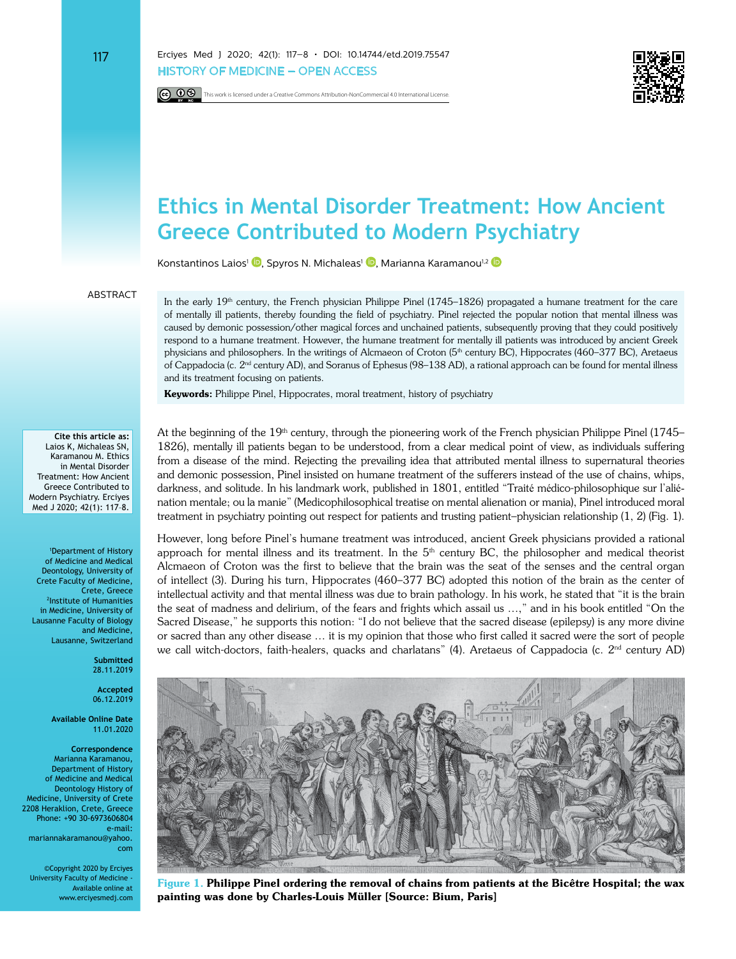117 Erciyes Med J 2020; 42(1): 117–8 • DOI: 10.14744/etd.2019.75547 HISTORY OF MEDICINE – OPEN ACCESS

**CC**  $\odot$  This work is licensed under a Creative Commons Attribution-NonCommercial 4.0 International License.



## **Ethics in Mental Disorder Treatment: How Ancient Greece Contributed to Modern Psychiatry**

Konstantinos Laios<sup>1</sup> <sup>(D</sup>[,](https://orcid.org/0000-0002-4746-0843) Spyros N. Michaleas<sup>1</sup> <sup>(D</sup>[,](https://orcid.org/0000-0002-7507-8908) Marianna Karamanou<sup>1,2</sup> (D

## **ARSTRACT**

In the early  $19<sup>th</sup>$  century, the French physician Philippe Pinel (1745–1826) propagated a humane treatment for the care of mentally ill patients, thereby founding the field of psychiatry. Pinel rejected the popular notion that mental illness was caused by demonic possession/other magical forces and unchained patients, subsequently proving that they could positively respond to a humane treatment. However, the humane treatment for mentally ill patients was introduced by ancient Greek physicians and philosophers. In the writings of Alcmaeon of Croton (5<sup>th</sup> century BC), Hippocrates (460–377 BC), Aretaeus of Cappadocia (c. 2nd century AD), and Soranus of Ephesus (98–138 AD), a rational approach can be found for mental illness and its treatment focusing on patients.

**Keywords:** Philippe Pinel, Hippocrates, moral treatment, history of psychiatry

**Cite this article as:** Laios K, Michaleas SN, Karamanou M. Ethics in Mental Disorder Treatment: How Ancient Greece Contributed to Modern Psychiatry. Erciyes Med J 2020; 42(1): 117–8.

1 Department of History of Medicine and Medical Deontology, University of Crete Faculty of Medicine, Crete, Greece 2 Institute of Humanities in Medicine, University of Lausanne Faculty of Biology and Medicine, Lausanne, Switzerland

> **Submitted** 28.11.2019

**Accepted** 06.12.2019

**Available Online Date** 11.01.2020

**Correspondence** Marianna Karamanou, Department of History of Medicine and Medical Deontology History of Medicine, University of Crete 2208 Heraklion, Crete, Greece Phone: +90 30-6973606804 e-mail:

mariannakaramanou@yahoo. com

©Copyright 2020 by Erciyes University Faculty of Medicine - Available online at www.erciyesmedj.com At the beginning of the 19<sup>th</sup> century, through the pioneering work of the French physician Philippe Pinel (1745– 1826), mentally ill patients began to be understood, from a clear medical point of view, as individuals suffering from a disease of the mind. Rejecting the prevailing idea that attributed mental illness to supernatural theories and demonic possession, Pinel insisted on humane treatment of the sufferers instead of the use of chains, whips, darkness, and solitude. In his landmark work, published in 1801, entitled "Traité médico-philosophique sur l'aliénation mentale; ou la manie" (Medicophilosophical treatise on mental alienation or mania), Pinel introduced moral treatment in psychiatry pointing out respect for patients and trusting patient–physician relationship (1, 2) (Fig. 1).

However, long before Pinel's humane treatment was introduced, ancient Greek physicians provided a rational approach for mental illness and its treatment. In the  $5<sup>th</sup>$  century BC, the philosopher and medical theorist Alcmaeon of Croton was the first to believe that the brain was the seat of the senses and the central organ of intellect (3). During his turn, Hippocrates (460–377 BC) adopted this notion of the brain as the center of intellectual activity and that mental illness was due to brain pathology. In his work, he stated that "it is the brain the seat of madness and delirium, of the fears and frights which assail us …," and in his book entitled "On the Sacred Disease," he supports this notion: "I do not believe that the sacred disease (epilepsy) is any more divine or sacred than any other disease … it is my opinion that those who first called it sacred were the sort of people we call witch-doctors, faith-healers, quacks and charlatans" (4). Aretaeus of Cappadocia (c. 2<sup>nd</sup> century AD)



**Figure 1. Philippe Pinel ordering the removal of chains from patients at the Bicêtre Hospital; the wax painting was done by Charles-Louis Müller [Source: Bium, Paris]**